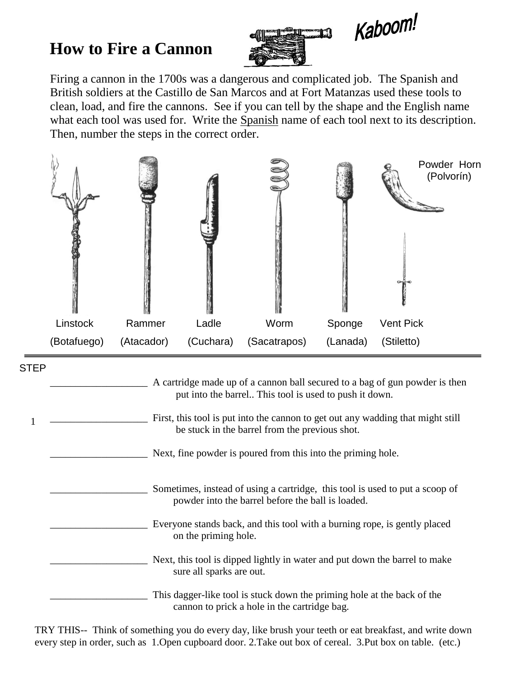## **How to Fire a Cannon**





Firing a cannon in the 1700s was a dangerous and complicated job. The Spanish and British soldiers at the Castillo de San Marcos and at Fort Matanzas used these tools to clean, load, and fire the cannons. See if you can tell by the shape and the English name what each tool was used for. Write the Spanish name of each tool next to its description. Then, number the steps in the correct order.



| <b>STEP</b> |                                                                                                                                       |
|-------------|---------------------------------------------------------------------------------------------------------------------------------------|
|             | A cartridge made up of a cannon ball secured to a bag of gun powder is then<br>put into the barrel This tool is used to push it down. |
|             | First, this tool is put into the cannon to get out any wadding that might still<br>be stuck in the barrel from the previous shot.     |
|             | Next, fine powder is poured from this into the priming hole.                                                                          |
|             | Sometimes, instead of using a cartridge, this tool is used to put a scoop of<br>powder into the barrel before the ball is loaded.     |
|             | Everyone stands back, and this tool with a burning rope, is gently placed<br>on the priming hole.                                     |
|             | Next, this tool is dipped lightly in water and put down the barrel to make<br>sure all sparks are out.                                |
|             | This dagger-like tool is stuck down the priming hole at the back of the<br>cannon to prick a hole in the cartridge bag.               |

TRY THIS-- Think of something you do every day, like brush your teeth or eat breakfast, and write down every step in order, such as 1.Open cupboard door. 2.Take out box of cereal. 3.Put box on table. (etc.)